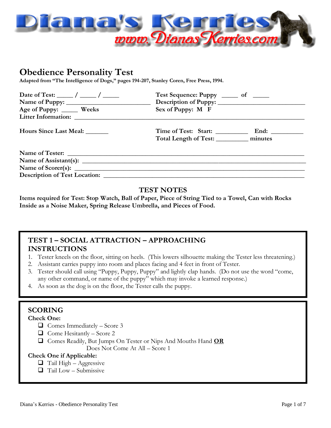

# **Obedience Personality Test**

**Adapted from "The Intelligence of Dogs," pages 194-207, Stanley Coren, Free Press, 1994.**

| Date of Test: $\frac{\ }{\ }$ / $\frac{\ }{\ }$ | Test Sequence: Puppy _______ of ______      |
|-------------------------------------------------|---------------------------------------------|
|                                                 |                                             |
| Age of Puppy: ______ Weeks                      | Sex of Puppy: M F                           |
| Litter Information: Litter Information:         |                                             |
| Hours Since Last Meal: _______                  |                                             |
|                                                 | Total Length of Test: _____________ minutes |
|                                                 |                                             |
|                                                 |                                             |
|                                                 |                                             |
| Description of Test Location:                   |                                             |

### **TEST NOTES**

**Items required for Test: Stop Watch, Ball of Paper, Piece of String Tied to a Towel, Can with Rocks Inside as a Noise Maker, Spring Release Umbrella, and Pieces of Food.**

# **TEST 1 – SOCIAL ATTRACTION – APPROACHING INSTRUCTIONS**

- 1. Tester kneels on the floor, sitting on heels. (This lowers silhouette making the Tester less threatening.)
- 2. Assistant carries puppy into room and places facing and 4 feet in front of Tester.
- 3. Tester should call using "Puppy, Puppy, Puppy" and lightly clap hands. (Do not use the word "come, any other command, or name of the puppy" which may invoke a learned response.)
- 4. As soon as the dog is on the floor, the Tester calls the puppy.

# **SCORING**

**Check One:**

- $\Box$  Comes Immediately Score 3
- $\Box$  Come Hesitantly Score 2
- Comes Readily, But Jumps On Tester or Nips And Mouths Hand **OR**
	- Does Not Come At All Score 1

#### **Check One if Applicable:**

- $\Box$  Tail High Aggressive
- $\Box$  Tail Low Submissive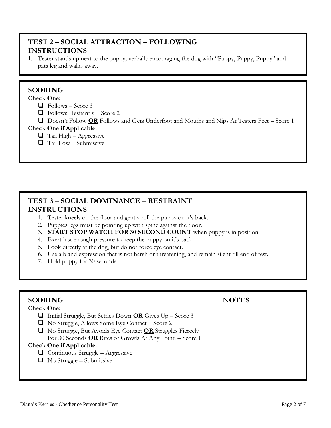# **TEST 2 – SOCIAL ATTRACTION – FOLLOWING INSTRUCTIONS**

1. Tester stands up next to the puppy, verbally encouraging the dog with "Puppy, Puppy, Puppy" and pats leg and walks away.

# **SCORING**

### **Check One:**

- $\Box$  Follows Score 3
- $\Box$  Follows Hesitantly Score 2
- Doesn't Follow **OR** Follows and Gets Underfoot and Mouths and Nips At Testers Feet Score 1

### **Check One if Applicable:**

- $\Box$  Tail High Aggressive
- $\Box$  Tail Low Submissive

# **TEST 3 – SOCIAL DOMINANCE – RESTRAINT INSTRUCTIONS**

- 1. Tester kneels on the floor and gently roll the puppy on it's back.
- 2. Puppies legs must be pointing up with spine against the floor.
- 3. **START STOP WATCH FOR 30 SECOND COUNT** when puppy is in position.
- 4. Exert just enough pressure to keep the puppy on it's back.
- 5. Look directly at the dog, but do not force eye contact.
- 6. Use a bland expression that is not harsh or threatening, and remain silent till end of test.
- 7. Hold puppy for 30 seconds.

# **SCORING NOTES**

#### **Check One:**

- Initial Struggle, But Settles Down **OR** Gives Up Score 3
- $\Box$  No Struggle, Allows Some Eye Contact Score 2
- No Struggle, But Avoids Eye Contact **OR** Struggles Fiercely For 30 Seconds **OR** Bites or Growls At Any Point. – Score 1

### **Check One if Applicable:**

- $\Box$  Continuous Struggle Aggressive
- $\Box$  No Struggle Submissive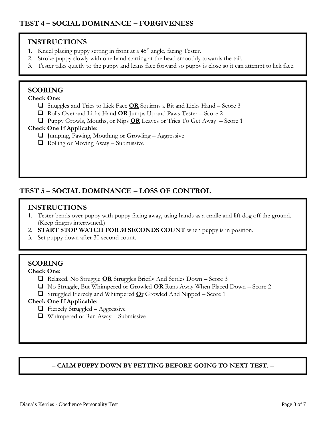- 1. Kneel placing puppy setting in front at a 45<sup>°</sup> angle, facing Tester.
- 2. Stroke puppy slowly with one hand starting at the head smoothly towards the tail.
- 3. Tester talks quietly to the puppy and leans face forward so puppy is close so it can attempt to lick face.

# **SCORING**

# **Check One:**

- Snuggles and Tries to Lick Face **OR** Squirms a Bit and Licks Hand Score 3
- Rolls Over and Licks Hand **OR** Jumps Up and Paws Tester Score 2
- Puppy Growls, Mouths, or Nips **OR** Leaves or Tries To Get Away Score 1

### **Check One If Applicable:**

- $\Box$  Jumping, Pawing, Mouthing or Growling Aggressive
- $\Box$  Rolling or Moving Away Submissive

# **TEST 5 – SOCIAL DOMINANCE – LOSS OF CONTROL**

# **INSTRUCTIONS**

- 1. Tester bends over puppy with puppy facing away, using hands as a cradle and lift dog off the ground. (Keep fingers intertwined.)
- 2. **START STOP WATCH FOR 30 SECONDS COUNT** when puppy is in position.
- 3. Set puppy down after 30 second count.

# **SCORING**

### **Check One:**

- Relaxed, No Struggle **OR** Struggles Briefly And Settles Down Score 3
- No Struggle, But Whimpered or Growled **OR** Runs Away When Placed Down Score 2
- Struggled Fiercely and Whimpered **Or** Growled And Nipped Score 1

### **Check One If Applicable:**

- $\Box$  Fiercely Struggled Aggressive
- $\Box$  Whimpered or Ran Away Submissive

# – **CALM PUPPY DOWN BY PETTING BEFORE GOING TO NEXT TEST.** –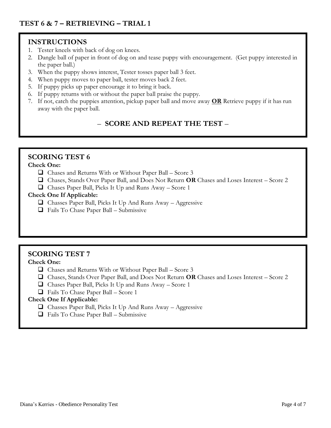- 1. Tester kneels with back of dog on knees.
- 2. Dangle ball of paper in front of dog on and tease puppy with encouragement. (Get puppy interested in the paper ball.)
- 3. When the puppy shows interest, Tester tosses paper ball 3 feet.
- 4. When puppy moves to paper ball, tester moves back 2 feet.
- 5. If puppy picks up paper encourage it to bring it back.
- 6. If puppy returns with or without the paper ball praise the puppy.
- 7. If not, catch the puppies attention, pickup paper ball and move away **OR** Retrieve puppy if it has run away with the paper ball.

# – **SCORE AND REPEAT THE TEST** –

# **SCORING TEST 6**

#### **Check One:**

- $\Box$  Chases and Returns With or Without Paper Ball Score 3
- Chases, Stands Over Paper Ball, and Does Not Return **OR** Chases and Loses Interest Score 2
- $\Box$  Chases Paper Ball, Picks It Up and Runs Away Score 1

#### **Check One If Applicable:**

- $\Box$  Chasses Paper Ball, Picks It Up And Runs Away Aggressive
- $\Box$  Fails To Chase Paper Ball Submissive

# **SCORING TEST 7**

#### **Check One:**

- $\Box$  Chases and Returns With or Without Paper Ball Score 3
- Chases, Stands Over Paper Ball, and Does Not Return **OR** Chases and Loses Interest Score 2
- $\Box$  Chases Paper Ball, Picks It Up and Runs Away Score 1
- $\Box$  Fails To Chase Paper Ball Score 1

#### **Check One If Applicable:**

- $\Box$  Chasses Paper Ball, Picks It Up And Runs Away Aggressive
- $\Box$  Fails To Chase Paper Ball Submissive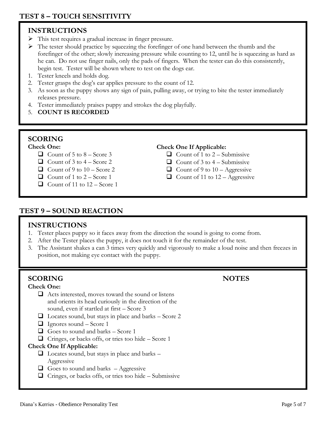- This test requires a gradual increase in finger pressure.
- $\triangleright$  The tester should practice by squeezing the forefinger of one hand between the thumb and the forefinger of the other; slowly increasing pressure while counting to 12, until he is squeezing as hard as he can. Do not use finger nails, only the pads of fingers. When the tester can do this consistently, begin test. Tester will be shown where to test on the dogs ear.
- 1. Tester kneels and holds dog.
- 2. Tester grasps the dog's ear applies pressure to the count of 12.
- 3. As soon as the puppy shows any sign of pain, pulling away, or trying to bite the tester immediately releases pressure.
- 4. Tester immediately praises puppy and strokes the dog playfully.
- 5. **COUNT IS RECORDED**

# **SCORING**

#### **Check One:**

- $\Box$  Count of 5 to 8 Score 3
- $\Box$  Count of 3 to 4 Score 2
- $\Box$  Count of 9 to 10 Score 2
- $\Box$  Count of 1 to 2 Score 1
- $\Box$  Count of 11 to 12 Score 1

### **Check One If Applicable:**

- $\Box$  Count of 1 to 2 Submissive
- $\Box$  Count of 3 to 4 Submissive
- $\Box$  Count of 9 to 10 Aggressive
- $\Box$  Count of 11 to 12 Aggressive

# **TEST 9 – SOUND REACTION**

### **INSTRUCTIONS**

- 1. Tester places puppy so it faces away from the direction the sound is going to come from.
- 2. After the Tester places the puppy, it does not touch it for the remainder of the test.
- 3. The Assistant shakes a can 3 times very quickly and vigorously to make a loud noise and then freezes in position, not making eye contact with the puppy.

# **SCORING NOTES**

#### **Check One:**

- $\Box$  Acts interested, moves toward the sound or listens and orients its head curiously in the direction of the sound, even if startled at first – Score 3
- $\Box$  Locates sound, but stays in place and barks Score 2
- $\Box$  Ignores sound Score 1
- $\Box$  Goes to sound and barks Score 1
- $\Box$  Cringes, or backs offs, or tries too hide Score 1

### **Check One If Applicable:**

- $\Box$  Locates sound, but stays in place and barks Aggressive
- $\Box$  Goes to sound and barks Aggressive
- $\Box$  Cringes, or backs offs, or tries too hide Submissive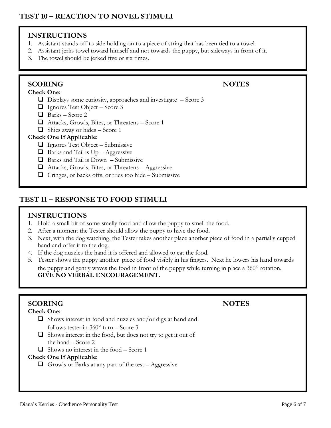- 1. Assistant stands off to side holding on to a piece of string that has been tied to a towel.
- 2. Assistant jerks towel toward himself and not towards the puppy, but sideways in front of it.
- 3. The towel should be jerked five or six times.

# **SCORING NOTES**

## **Check One:**

- $\Box$  Displays some curiosity, approaches and investigate  $-$  Score 3
- $\Box$  Ignores Test Object Score 3
- $\Box$  Barks Score 2
- Attacks, Growls, Bites, or Threatens Score 1
- $\Box$  Shies away or hides Score 1

# **Check One If Applicable:**

- $\Box$  Ignores Test Object Submissive
- $\Box$  Barks and Tail is  $Up Aggressive$
- $\Box$  Barks and Tail is Down Submissive
- $\Box$  Attacks, Growls, Bites, or Threatens Aggressive
- $\Box$  Cringes, or backs offs, or tries too hide Submissive

# **TEST 11 – RESPONSE TO FOOD STIMULI**

# **INSTRUCTIONS**

- 1. Hold a small bit of some smelly food and allow the puppy to smell the food.
- 2. After a moment the Tester should allow the puppy to have the food.
- 3. Next, with the dog watching, the Tester takes another place another piece of food in a partially cupped hand and offer it to the dog.
- 4. If the dog nuzzles the hand it is offered and allowed to eat the food.
- 5. Tester shows the puppy another piece of food visibly in his fingers. Next he lowers his hand towards the puppy and gently waves the food in front of the puppy while turning in place a 360° rotation. **GIVE NO VERBAL ENCOURAGEMENT.**

# **SCORING NOTES**

# **Check One:**

- $\Box$  Shows interest in food and nuzzles and/or digs at hand and follows tester in  $360^{\circ}$  turn – Score 3
- $\Box$  Shows interest in the food, but does not try to get it out of the hand – Score 2
- $\Box$  Shows no interest in the food Score 1

# **Check One If Applicable:**

 $\Box$  Growls or Barks at any part of the test – Aggressive